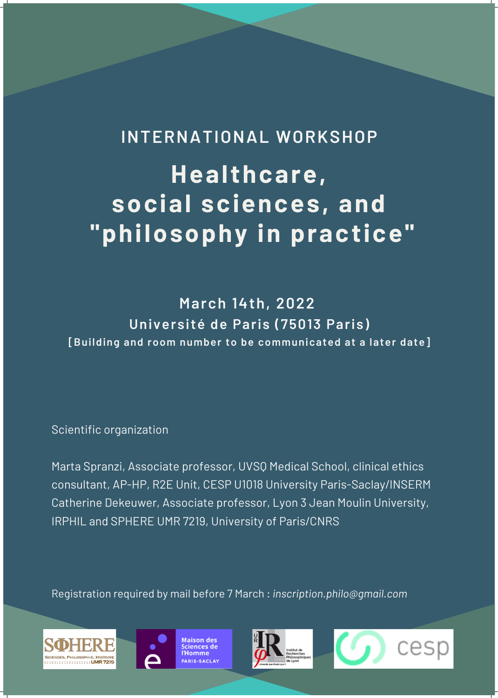**March 14th, 2022 Université de Paris (75013 Paris) [Building and room number to be communicated at a later date]**

### Scientific organization

Marta Spranzi, Associate professor, UVSQ Medical School, clinical ethics consultant, AP-HP, R2E Unit, CESP U1018 University Paris-Saclay/INSERM Catherine Dekeuwer, Associate professor, Lyon 3 Jean Moulin University, IRPHIL and SPHERE UMR 7219, University of Paris/CNRS

# **Healthcare, social sciences, and "philosophy in practice" INTERNATIONAL WORKSHOP**

### Registration required by mail before 7 March : *inscription.philo@gmail.com*





**Maison des** Sciences de l'Homme PARIS-SACLAY